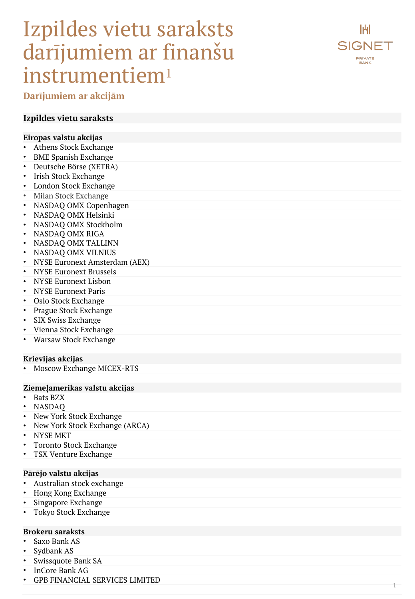# Izpildes vietu saraksts darījumiem ar finanšu instrumentiem 1



**Darījumiem ar akcijām**

### **Izpildes vietu saraksts**

#### **Eiropas valstu akcijas**

- Athens Stock Exchange
- BME Spanish Exchange
- Deutsche Börse (XETRA)
- Irish Stock Exchange
- London Stock Exchange
- Milan Stock Exchange
- NASDAQ OMX Copenhagen
- NASDAQ OMX Helsinki
- NASDAQ OMX Stockholm
- NASDAQ OMX RIGA
- NASDAQ OMX TALLINN
- NASDAQ OMX VILNIUS
- NYSE Euronext Amsterdam (AEX)
- NYSE Euronext Brussels
- NYSE Euronext Lisbon
- NYSE Euronext Paris
- Oslo Stock Exchange
- Prague Stock Exchange
- SIX Swiss Exchange
- Vienna Stock Exchange
- Warsaw Stock Exchange

#### **Krievijas akcijas**

• Moscow Exchange MICEX -RTS

#### **Ziemeļamerikas valstu akcijas**

- Bats BZX
- NASDAQ
- New York Stock Exchange
- New York Stock Exchange (ARCA)
- NYSE MKT
- Toronto Stock Exchange
- TSX Venture Exchange

#### **Pārējo valstu akcijas**

- Australian stock exchange
- Hong Kong Exchange
- Singapore Exchange
- Tokyo Stock Exchange

#### **Brokeru saraksts**

- Saxo Bank AS
- Sydbank AS
- Swissquote Bank SA
- InCore Bank AG
- GPB FINANCIAL SERVICES LIMITED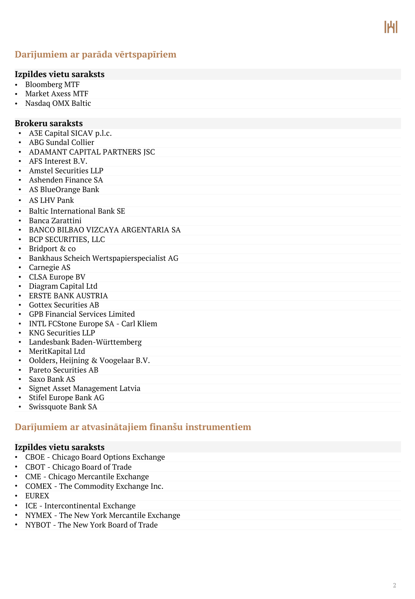# **Darījumiem ar parāda vērtspapīriem**

#### **Izpildes vietu saraksts**

- Bloomberg MTF
- Market Axess MTF
- Nasdaq OMX Baltic

#### **Brokeru saraksts**

- A3E Capital SICAV p.l.c.
- ABG Sundal Collier
- ADAMANT CAPITAL PARTNERS JSC
- AFS Interest B.V.
- Amstel Securities LLP
- Ashenden Finance SA
- AS BlueOrange Bank
- AS LHV Pank
- Baltic International Bank SE
- Banca Zarattini
- BANCO BILBAO VIZCAYA ARGENTARIA SA
- BCP SECURITIES, LLC
- Bridport & co
- Bankhaus Scheich Wertspapierspecialist AG
- Carnegie AS
- CLSA Europe BV
- Diagram Capital Ltd
- ERSTE BANK AUSTRIA
- Gottex Securities AB
- GPB Financial Services Limited
- INTL FCStone Europe SA Carl Kliem
- KNG Securities LLP
- Landesbank Baden-Württemberg
- MeritKapital Ltd
- Oolders, Heijning & Voogelaar B.V.
- Pareto Securities AB
- Saxo Bank AS
- Signet Asset Management Latvia
- Stifel Europe Bank AG
- Swissquote Bank SA

# **Darījumiem ar atvasinātajiem finanšu instrumentiem**

#### **Izpildes vietu saraksts**

- CBOE Chicago Board Options Exchange
- CBOT Chicago Board of Trade
- CME Chicago Mercantile Exchange
- COMEX The Commodity Exchange Inc.
- EUREX
- ICE Intercontinental Exchange
- NYMEX The New York Mercantile Exchange
- NYBOT The New York Board of Trade